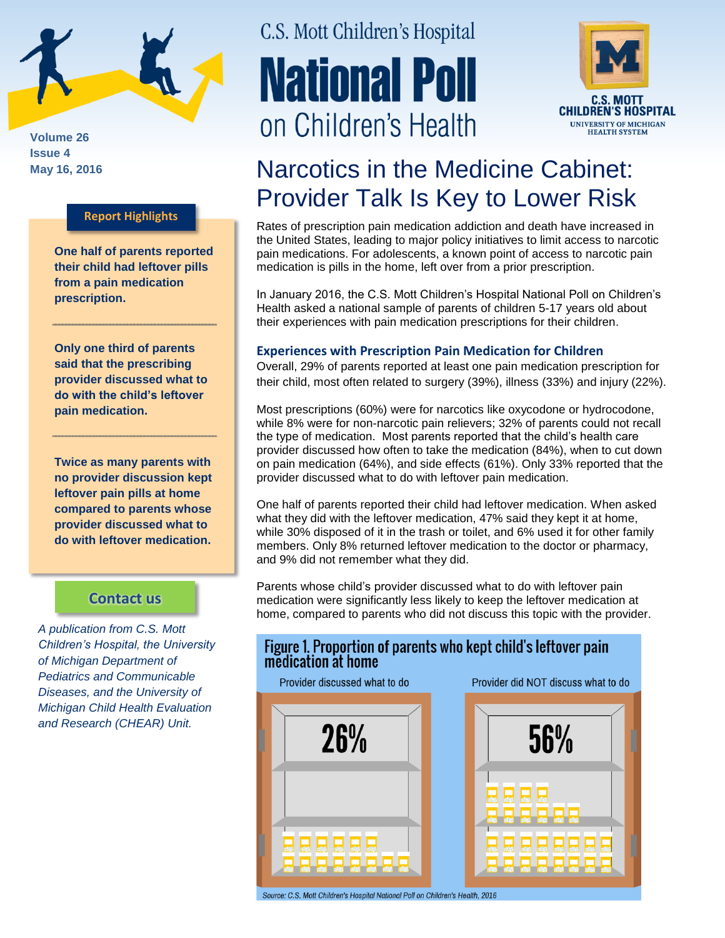

**Volume 26 Issue 4**

### **Report Highlights**

**One half of parents reported their child had leftover pills from a pain medication prescription.**

**Only one third of parents said that the prescribing provider discussed what to do with the child's leftover pain medication.**

**Twice as many parents with no provider discussion kept leftover pain pills at home compared to parents whose provider discussed what to do with leftover medication.**

### **[Contact us](http://mottnpch.org/contact)**

*A publication from C.S. Mott Children's Hospital, the University of Michigan Department of Pediatrics and Communicable Diseases, and the University of Michigan Child Health Evaluation and Research (CHEAR) Unit.*

# C.S. Mott Children's Hospital **National Poll** on Children's Health



## May 16, 2016 **Narcotics in the Medicine Cabinet:** Provider Talk Is Key to Lower Risk

Rates of prescription pain medication addiction and death have increased in the United States, leading to major policy initiatives to limit access to narcotic pain medications. For adolescents, a known point of access to narcotic pain medication is pills in the home, left over from a prior prescription.

In January 2016, the C.S. Mott Children's Hospital National Poll on Children's Health asked a national sample of parents of children 5-17 years old about their experiences with pain medication prescriptions for their children.

### **Experiences with Prescription Pain Medication for Children**

Overall, 29% of parents reported at least one pain medication prescription for their child, most often related to surgery (39%), illness (33%) and injury (22%).

Most prescriptions (60%) were for narcotics like oxycodone or hydrocodone, while 8% were for non-narcotic pain relievers; 32% of parents could not recall the type of medication. Most parents reported that the child's health care provider discussed how often to take the medication (84%), when to cut down on pain medication (64%), and side effects (61%). Only 33% reported that the provider discussed what to do with leftover pain medication.

One half of parents reported their child had leftover medication. When asked what they did with the leftover medication, 47% said they kept it at home, while 30% disposed of it in the trash or toilet, and 6% used it for other family members. Only 8% returned leftover medication to the doctor or pharmacy, and 9% did not remember what they did.

Parents whose child's provider discussed what to do with leftover pain medication were significantly less likely to keep the leftover medication at home, compared to parents who did not discuss this topic with the provider.

Figure 1 Proportion of parents who kept child's leftover pain

| Provider discussed what to do | medication at home<br>Provider did NOT discuss what to do |
|-------------------------------|-----------------------------------------------------------|
| <b>26%</b>                    | 56%                                                       |
|                               |                                                           |

Source: C.S. Mott Children's Hospital National Poll on Children's Health, 2016